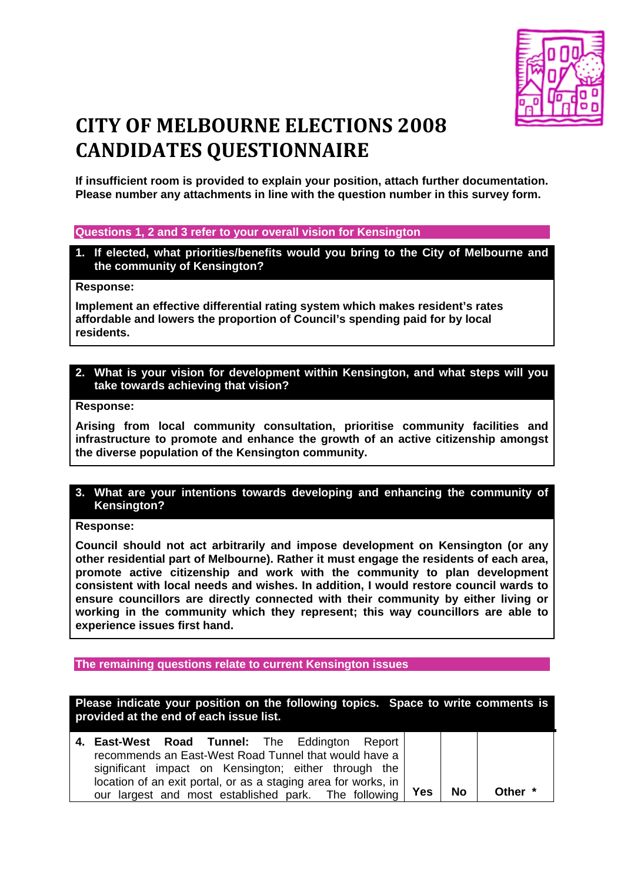

# **CITY OF MELBOURNE ELECTIONS 2008 CANDIDATES QUESTIONNAIRE**

**If insufficient room is provided to explain your position, attach further documentation. Please number any attachments in line with the question number in this survey form.**

#### **Questions 1, 2 and 3 refer to your overall vision for Kensington**

**1. If elected, what priorities/benefits would you bring to the City of Melbourne and the community of Kensington?** 

#### **Response:**

**Implement an effective differential rating system which makes resident's rates affordable and lowers the proportion of Council's spending paid for by local residents.** 

#### **2. What is your vision for development within Kensington, and what steps will you take towards achieving that vision?**

## **Response:**

**Arising from local community consultation, prioritise community facilities and infrastructure to promote and enhance the growth of an active citizenship amongst the diverse population of the Kensington community.** 

## **3. What are your intentions towards developing and enhancing the community of Kensington?**

#### **Response:**

**Council should not act arbitrarily and impose development on Kensington (or any other residential part of Melbourne). Rather it must engage the residents of each area, promote active citizenship and work with the community to plan development consistent with local needs and wishes. In addition, I would restore council wards to ensure councillors are directly connected with their community by either living or working in the community which they represent; this way councillors are able to experience issues first hand.** 

#### **The remaining questions relate to current Kensington issues**

| Please indicate your position on the following topics. Space to write comments is<br>provided at the end of each issue list.                                                                                                                                                              |            |    |              |
|-------------------------------------------------------------------------------------------------------------------------------------------------------------------------------------------------------------------------------------------------------------------------------------------|------------|----|--------------|
| 4. East-West Road Tunnel: The Eddington Report<br>recommends an East-West Road Tunnel that would have a<br>significant impact on Kensington; either through the<br>location of an exit portal, or as a staging area for works, in<br>our largest and most established park. The following | <b>Yes</b> | No | <b>Other</b> |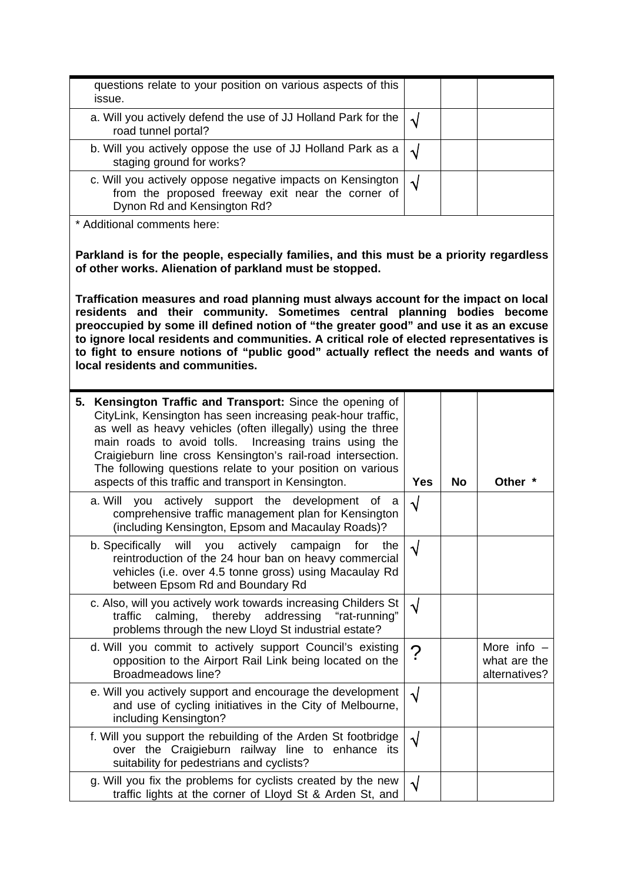| questions relate to your position on various aspects of this                                                                                                                                                                                                                                                                                                                                                                                                                                                                                                                                                                        |                       |           |                                                |  |  |  |
|-------------------------------------------------------------------------------------------------------------------------------------------------------------------------------------------------------------------------------------------------------------------------------------------------------------------------------------------------------------------------------------------------------------------------------------------------------------------------------------------------------------------------------------------------------------------------------------------------------------------------------------|-----------------------|-----------|------------------------------------------------|--|--|--|
| issue.                                                                                                                                                                                                                                                                                                                                                                                                                                                                                                                                                                                                                              |                       |           |                                                |  |  |  |
| a. Will you actively defend the use of JJ Holland Park for the<br>road tunnel portal?                                                                                                                                                                                                                                                                                                                                                                                                                                                                                                                                               | $\sqrt{}$             |           |                                                |  |  |  |
| b. Will you actively oppose the use of JJ Holland Park as a<br>staging ground for works?                                                                                                                                                                                                                                                                                                                                                                                                                                                                                                                                            | $\sqrt{}$             |           |                                                |  |  |  |
| c. Will you actively oppose negative impacts on Kensington<br>from the proposed freeway exit near the corner of<br>Dynon Rd and Kensington Rd?                                                                                                                                                                                                                                                                                                                                                                                                                                                                                      | $\sqrt{ }$            |           |                                                |  |  |  |
| * Additional comments here:                                                                                                                                                                                                                                                                                                                                                                                                                                                                                                                                                                                                         |                       |           |                                                |  |  |  |
| Parkland is for the people, especially families, and this must be a priority regardless<br>of other works. Alienation of parkland must be stopped.<br>Traffication measures and road planning must always account for the impact on local<br>residents and their community. Sometimes central planning bodies become<br>preoccupied by some ill defined notion of "the greater good" and use it as an excuse<br>to ignore local residents and communities. A critical role of elected representatives is<br>to fight to ensure notions of "public good" actually reflect the needs and wants of<br>local residents and communities. |                       |           |                                                |  |  |  |
| 5. Kensington Traffic and Transport: Since the opening of<br>CityLink, Kensington has seen increasing peak-hour traffic,<br>as well as heavy vehicles (often illegally) using the three<br>main roads to avoid tolls. Increasing trains using the<br>Craigieburn line cross Kensington's rail-road intersection.<br>The following questions relate to your position on various<br>aspects of this traffic and transport in Kensington.                                                                                                                                                                                              | <b>Yes</b>            | <b>No</b> | Other *                                        |  |  |  |
|                                                                                                                                                                                                                                                                                                                                                                                                                                                                                                                                                                                                                                     |                       |           |                                                |  |  |  |
| a. Will<br>you actively support the development of<br>a a<br>comprehensive traffic management plan for Kensington<br>(including Kensington, Epsom and Macaulay Roads)?                                                                                                                                                                                                                                                                                                                                                                                                                                                              | √                     |           |                                                |  |  |  |
| b. Specifically will you actively campaign for<br>the<br>reintroduction of the 24 hour ban on heavy commercial<br>vehicles (i.e. over 4.5 tonne gross) using Macaulay Rd<br>between Epsom Rd and Boundary Rd                                                                                                                                                                                                                                                                                                                                                                                                                        | V                     |           |                                                |  |  |  |
| c. Also, will you actively work towards increasing Childers St<br>calming, thereby addressing<br>"rat-running"<br>traffic<br>problems through the new Lloyd St industrial estate?                                                                                                                                                                                                                                                                                                                                                                                                                                                   | √                     |           |                                                |  |  |  |
| d. Will you commit to actively support Council's existing<br>opposition to the Airport Rail Link being located on the<br>Broadmeadows line?                                                                                                                                                                                                                                                                                                                                                                                                                                                                                         | $\boldsymbol{\gamma}$ |           | More info $-$<br>what are the<br>alternatives? |  |  |  |
| e. Will you actively support and encourage the development<br>and use of cycling initiatives in the City of Melbourne,<br>including Kensington?                                                                                                                                                                                                                                                                                                                                                                                                                                                                                     | √                     |           |                                                |  |  |  |
| f. Will you support the rebuilding of the Arden St footbridge<br>over the Craigieburn railway line to enhance its<br>suitability for pedestrians and cyclists?                                                                                                                                                                                                                                                                                                                                                                                                                                                                      | $\sqrt{ }$            |           |                                                |  |  |  |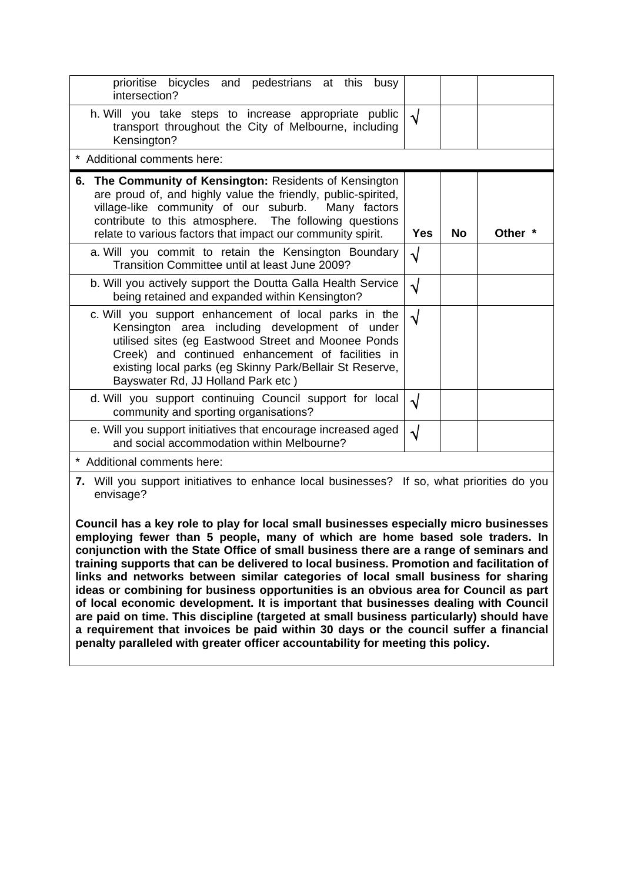| prioritise bicycles and pedestrians at this busy<br>intersection?                                                                                                                                                                                                                                                     |            |           |         |
|-----------------------------------------------------------------------------------------------------------------------------------------------------------------------------------------------------------------------------------------------------------------------------------------------------------------------|------------|-----------|---------|
| h. Will you take steps to increase appropriate public<br>transport throughout the City of Melbourne, including<br>Kensington?                                                                                                                                                                                         | $\sqrt{ }$ |           |         |
| * Additional comments here:                                                                                                                                                                                                                                                                                           |            |           |         |
| The Community of Kensington: Residents of Kensington<br>6.<br>are proud of, and highly value the friendly, public-spirited,<br>village-like community of our suburb.<br>Many factors<br>contribute to this atmosphere. The following questions<br>relate to various factors that impact our community spirit.         | <b>Yes</b> | <b>No</b> | Other * |
| a. Will you commit to retain the Kensington Boundary<br>Transition Committee until at least June 2009?                                                                                                                                                                                                                | √          |           |         |
| b. Will you actively support the Doutta Galla Health Service<br>being retained and expanded within Kensington?                                                                                                                                                                                                        | $\sqrt{}$  |           |         |
| c. Will you support enhancement of local parks in the<br>Kensington area including development of under<br>utilised sites (eg Eastwood Street and Moonee Ponds<br>Creek) and continued enhancement of facilities in<br>existing local parks (eg Skinny Park/Bellair St Reserve,<br>Bayswater Rd, JJ Holland Park etc) | $\sqrt{}$  |           |         |
| d. Will you support continuing Council support for local<br>community and sporting organisations?                                                                                                                                                                                                                     | √          |           |         |
| e. Will you support initiatives that encourage increased aged<br>and social accommodation within Melbourne?                                                                                                                                                                                                           | √          |           |         |
| * Additional comments here:                                                                                                                                                                                                                                                                                           |            |           |         |
| 7. Will you support initiatives to enhance local businesses? If so, what priorities do you                                                                                                                                                                                                                            |            |           |         |

**7.** Will you support initiatives to enhance local businesses? If so, what priorities do you envisage?

**Council has a key role to play for local small businesses especially micro businesses employing fewer than 5 people, many of which are home based sole traders. In conjunction with the State Office of small business there are a range of seminars and training supports that can be delivered to local business. Promotion and facilitation of links and networks between similar categories of local small business for sharing ideas or combining for business opportunities is an obvious area for Council as part of local economic development. It is important that businesses dealing with Council are paid on time. This discipline (targeted at small business particularly) should have a requirement that invoices be paid within 30 days or the council suffer a financial penalty paralleled with greater officer accountability for meeting this policy.**